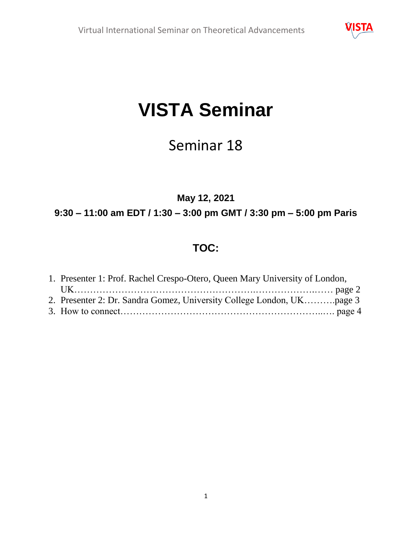

# **VISTA Seminar**

# Seminar 18

## **May 12, 2021**

## **9:30 – 11:00 am EDT / 1:30 – 3:00 pm GMT / 3:30 pm – 5:00 pm Paris**

# **TOC:**

| 1. Presenter 1: Prof. Rachel Crespo-Otero, Queen Mary University of London, |  |
|-----------------------------------------------------------------------------|--|
|                                                                             |  |
|                                                                             |  |
|                                                                             |  |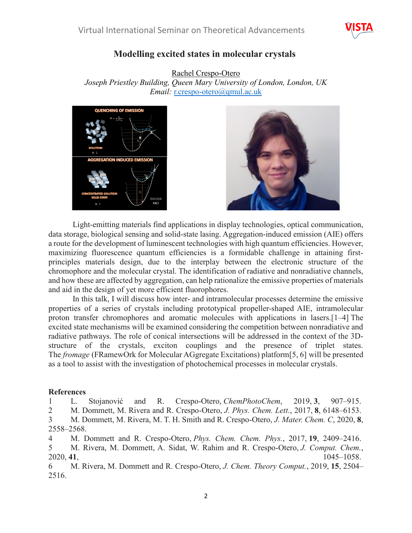

#### **Modelling excited states in molecular crystals**

Rachel Crespo-Otero

*Joseph Priestley Building, Queen Mary University of London, London, UK Email:* [r.crespo-otero@qmul.ac.uk](mailto:r.crespo-otero@qmul.ac.uk)





Light-emitting materials find applications in display technologies, optical communication, data storage, biological sensing and solid-state lasing. Aggregation-induced emission (AIE) offers a route for the development of luminescent technologies with high quantum efficiencies. However, maximizing fluorescence quantum efficiencies is a formidable challenge in attaining firstprinciples materials design, due to the interplay between the electronic structure of the chromophore and the molecular crystal. The identification of radiative and nonradiative channels, and how these are affected by aggregation, can help rationalize the emissive properties of materials and aid in the design of yet more efficient fluorophores.

In this talk, I will discuss how inter- and intramolecular processes determine the emissive properties of a series of crystals including prototypical propeller-shaped AIE, intramolecular proton transfer chromophores and aromatic molecules with applications in lasers.[1–4] The excited state mechanisms will be examined considering the competition between nonradiative and radiative pathways. The role of conical intersections will be addressed in the context of the 3Dstructure of the crystals, exciton couplings and the presence of triplet states. The *fromage* (FRamewOrk for Molecular AGgregate Excitations) platform[5, 6] will be presented as a tool to assist with the investigation of photochemical processes in molecular crystals.

#### **References**

1 L. Stojanović and R. Crespo‐Otero, *ChemPhotoChem*, 2019, **3**, 907–915.

2 M. Dommett, M. Rivera and R. Crespo-Otero, *J. Phys. Chem. Lett.*, 2017, **8**, 6148–6153.

3 M. Dommett, M. Rivera, M. T. H. Smith and R. Crespo-Otero, *J. Mater. Chem. C*, 2020, **8**, 2558–2568.

4 M. Dommett and R. Crespo-Otero, *Phys. Chem. Chem. Phys.*, 2017, **19**, 2409–2416.

5 M. Rivera, M. Dommett, A. Sidat, W. Rahim and R. Crespo‐Otero, *J. Comput. Chem.*, 2020, **41**, 1045–1058.

6 M. Rivera, M. Dommett and R. Crespo-Otero, *J. Chem. Theory Comput.*, 2019, **15**, 2504– 2516.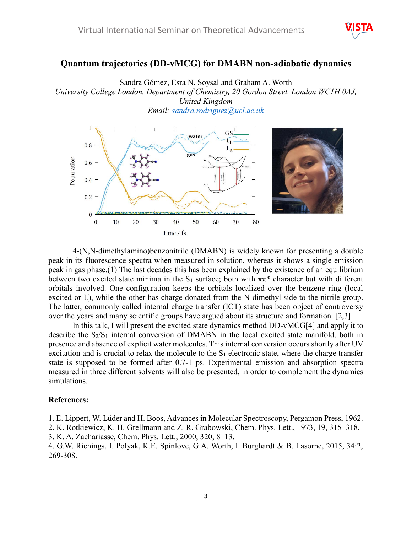

#### **Quantum trajectories (DD-vMCG) for DMABN non-adiabatic dynamics**

Sandra Gómez, Esra N. Soysal and Graham A. Worth *University College London, Department of Chemistry, 20 Gordon Street, London WC1H 0AJ, United Kingdom Email: [sandra.rodriguez@ucl.ac.uk](mailto:sandra.rodriguez@ucl.ac.uk)*



4-(N,N-dimethylamino)benzonitrile (DMABN) is widely known for presenting a double peak in its fluorescence spectra when measured in solution, whereas it shows a single emission peak in gas phase.(1) The last decades this has been explained by the existence of an equilibrium between two excited state minima in the S<sub>1</sub> surface; both with  $\pi \pi^*$  character but with different orbitals involved. One configuration keeps the orbitals localized over the benzene ring (local excited or L), while the other has charge donated from the N-dimethyl side to the nitrile group. The latter, commonly called internal charge transfer (ICT) state has been object of controversy over the years and many scientific groups have argued about its structure and formation. [2,3]

In this talk, I will present the excited state dynamics method DD-vMCG[4] and apply it to describe the  $S_2/S_1$  internal conversion of DMABN in the local excited state manifold, both in presence and absence of explicit water molecules. This internal conversion occurs shortly after UV excitation and is crucial to relax the molecule to the  $S_1$  electronic state, where the charge transfer state is supposed to be formed after 0.7-1 ps. Experimental emission and absorption spectra measured in three different solvents will also be presented, in order to complement the dynamics simulations.

#### **References:**

1. E. Lippert, W. Lüder and H. Boos, Advances in Molecular Spectroscopy, Pergamon Press, 1962.

2. K. Rotkiewicz, K. H. Grellmann and Z. R. Grabowski, Chem. Phys. Lett., 1973, 19, 315–318.

3. K. A. Zachariasse, Chem. Phys. Lett., 2000, 320, 8–13.

4. G.W. Richings, I. Polyak, K.E. Spinlove, G.A. Worth, I. Burghardt & B. Lasorne, 2015, 34:2, 269-308.